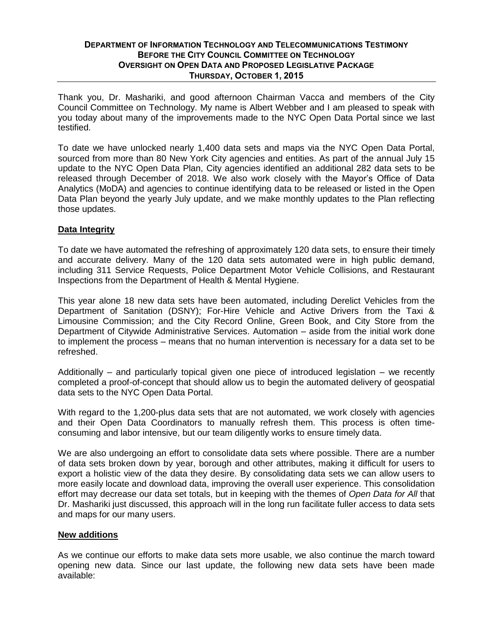## **DEPARTMENT OF INFORMATION TECHNOLOGY AND TELECOMMUNICATIONS TESTIMONY BEFORE THE CITY COUNCIL COMMITTEE ON TECHNOLOGY OVERSIGHT ON OPEN DATA AND PROPOSED LEGISLATIVE PACKAGE THURSDAY, OCTOBER 1, 2015**

Thank you, Dr. Mashariki, and good afternoon Chairman Vacca and members of the City Council Committee on Technology. My name is Albert Webber and I am pleased to speak with you today about many of the improvements made to the NYC Open Data Portal since we last testified.

To date we have unlocked nearly 1,400 data sets and maps via the NYC Open Data Portal, sourced from more than 80 New York City agencies and entities. As part of the annual July 15 update to the NYC Open Data Plan, City agencies identified an additional 282 data sets to be released through December of 2018. We also work closely with the Mayor's Office of Data Analytics (MoDA) and agencies to continue identifying data to be released or listed in the Open Data Plan beyond the yearly July update, and we make monthly updates to the Plan reflecting those updates.

## **Data Integrity**

To date we have automated the refreshing of approximately 120 data sets, to ensure their timely and accurate delivery. Many of the 120 data sets automated were in high public demand, including 311 Service Requests, Police Department Motor Vehicle Collisions, and Restaurant Inspections from the Department of Health & Mental Hygiene.

This year alone 18 new data sets have been automated, including Derelict Vehicles from the Department of Sanitation (DSNY); For-Hire Vehicle and Active Drivers from the Taxi & Limousine Commission; and the City Record Online, Green Book, and City Store from the Department of Citywide Administrative Services. Automation – aside from the initial work done to implement the process – means that no human intervention is necessary for a data set to be refreshed.

Additionally – and particularly topical given one piece of introduced legislation – we recently completed a proof-of-concept that should allow us to begin the automated delivery of geospatial data sets to the NYC Open Data Portal.

With regard to the 1,200-plus data sets that are not automated, we work closely with agencies and their Open Data Coordinators to manually refresh them. This process is often timeconsuming and labor intensive, but our team diligently works to ensure timely data.

We are also undergoing an effort to consolidate data sets where possible. There are a number of data sets broken down by year, borough and other attributes, making it difficult for users to export a holistic view of the data they desire. By consolidating data sets we can allow users to more easily locate and download data, improving the overall user experience. This consolidation effort may decrease our data set totals, but in keeping with the themes of *Open Data for All* that Dr. Mashariki just discussed, this approach will in the long run facilitate fuller access to data sets and maps for our many users.

## **New additions**

As we continue our efforts to make data sets more usable, we also continue the march toward opening new data. Since our last update, the following new data sets have been made available: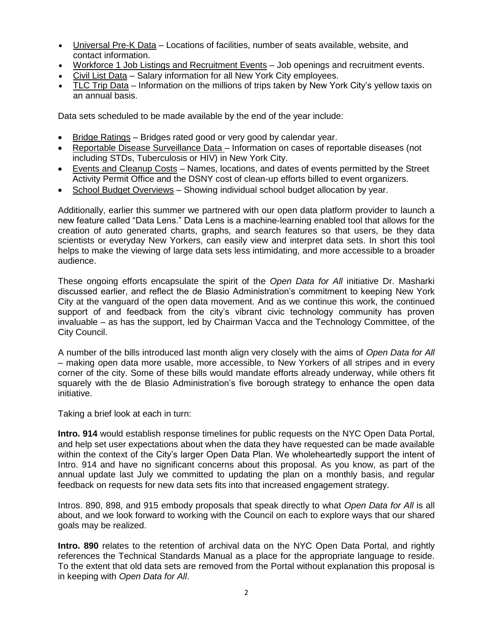- Universal Pre-K Data Locations of facilities, number of seats available, website, and contact information.
- Workforce 1 Job Listings and Recruitment Events Job openings and recruitment events.
- $\bullet$  Civil List Data Salary information for all New York City employees.
- TLC Trip Data Information on the millions of trips taken by New York City's yellow taxis on an annual basis.

Data sets scheduled to be made available by the end of the year include:

- Bridge Ratings Bridges rated good or very good by calendar year.
- Reportable Disease Surveillance Data Information on cases of reportable diseases (not including STDs, Tuberculosis or HIV) in New York City.
- Events and Cleanup Costs Names, locations, and dates of events permitted by the Street Activity Permit Office and the DSNY cost of clean-up efforts billed to event organizers.
- School Budget Overviews Showing individual school budget allocation by year.

Additionally, earlier this summer we partnered with our open data platform provider to launch a new feature called "Data Lens." Data Lens is a machine-learning enabled tool that allows for the creation of auto generated charts, graphs, and search features so that users, be they data scientists or everyday New Yorkers, can easily view and interpret data sets. In short this tool helps to make the viewing of large data sets less intimidating, and more accessible to a broader audience.

These ongoing efforts encapsulate the spirit of the *Open Data for All* initiative Dr. Masharki discussed earlier, and reflect the de Blasio Administration's commitment to keeping New York City at the vanguard of the open data movement. And as we continue this work, the continued support of and feedback from the city's vibrant civic technology community has proven invaluable – as has the support, led by Chairman Vacca and the Technology Committee, of the City Council.

A number of the bills introduced last month align very closely with the aims of *Open Data for All* – making open data more usable, more accessible, to New Yorkers of all stripes and in every corner of the city. Some of these bills would mandate efforts already underway, while others fit squarely with the de Blasio Administration's five borough strategy to enhance the open data initiative.

Taking a brief look at each in turn:

**Intro. 914** would establish response timelines for public requests on the NYC Open Data Portal, and help set user expectations about when the data they have requested can be made available within the context of the City's larger Open Data Plan. We wholeheartedly support the intent of Intro. 914 and have no significant concerns about this proposal. As you know, as part of the annual update last July we committed to updating the plan on a monthly basis, and regular feedback on requests for new data sets fits into that increased engagement strategy.

Intros. 890, 898, and 915 embody proposals that speak directly to what *Open Data for All* is all about, and we look forward to working with the Council on each to explore ways that our shared goals may be realized.

**Intro. 890** relates to the retention of archival data on the NYC Open Data Portal, and rightly references the Technical Standards Manual as a place for the appropriate language to reside. To the extent that old data sets are removed from the Portal without explanation this proposal is in keeping with *Open Data for All*.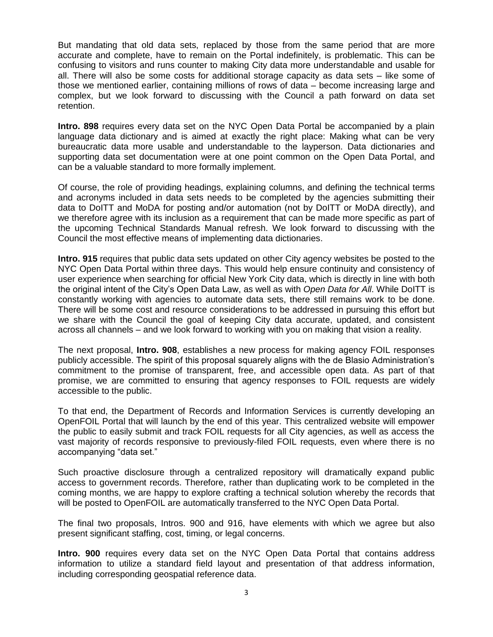But mandating that old data sets, replaced by those from the same period that are more accurate and complete, have to remain on the Portal indefinitely, is problematic. This can be confusing to visitors and runs counter to making City data more understandable and usable for all. There will also be some costs for additional storage capacity as data sets – like some of those we mentioned earlier, containing millions of rows of data – become increasing large and complex, but we look forward to discussing with the Council a path forward on data set retention.

**Intro. 898** requires every data set on the NYC Open Data Portal be accompanied by a plain language data dictionary and is aimed at exactly the right place: Making what can be very bureaucratic data more usable and understandable to the layperson. Data dictionaries and supporting data set documentation were at one point common on the Open Data Portal, and can be a valuable standard to more formally implement.

Of course, the role of providing headings, explaining columns, and defining the technical terms and acronyms included in data sets needs to be completed by the agencies submitting their data to DoITT and MoDA for posting and/or automation (not by DoITT or MoDA directly), and we therefore agree with its inclusion as a requirement that can be made more specific as part of the upcoming Technical Standards Manual refresh. We look forward to discussing with the Council the most effective means of implementing data dictionaries.

**Intro. 915** requires that public data sets updated on other City agency websites be posted to the NYC Open Data Portal within three days. This would help ensure continuity and consistency of user experience when searching for official New York City data, which is directly in line with both the original intent of the City's Open Data Law, as well as with *Open Data for All*. While DoITT is constantly working with agencies to automate data sets, there still remains work to be done. There will be some cost and resource considerations to be addressed in pursuing this effort but we share with the Council the goal of keeping City data accurate, updated, and consistent across all channels – and we look forward to working with you on making that vision a reality.

The next proposal, **Intro. 908**, establishes a new process for making agency FOIL responses publicly accessible. The spirit of this proposal squarely aligns with the de Blasio Administration's commitment to the promise of transparent, free, and accessible open data. As part of that promise, we are committed to ensuring that agency responses to FOIL requests are widely accessible to the public.

To that end, the Department of Records and Information Services is currently developing an OpenFOIL Portal that will launch by the end of this year. This centralized website will empower the public to easily submit and track FOIL requests for all City agencies, as well as access the vast majority of records responsive to previously-filed FOIL requests, even where there is no accompanying "data set."

Such proactive disclosure through a centralized repository will dramatically expand public access to government records. Therefore, rather than duplicating work to be completed in the coming months, we are happy to explore crafting a technical solution whereby the records that will be posted to OpenFOIL are automatically transferred to the NYC Open Data Portal.

The final two proposals, Intros. 900 and 916, have elements with which we agree but also present significant staffing, cost, timing, or legal concerns.

**Intro. 900** requires every data set on the NYC Open Data Portal that contains address information to utilize a standard field layout and presentation of that address information, including corresponding geospatial reference data.